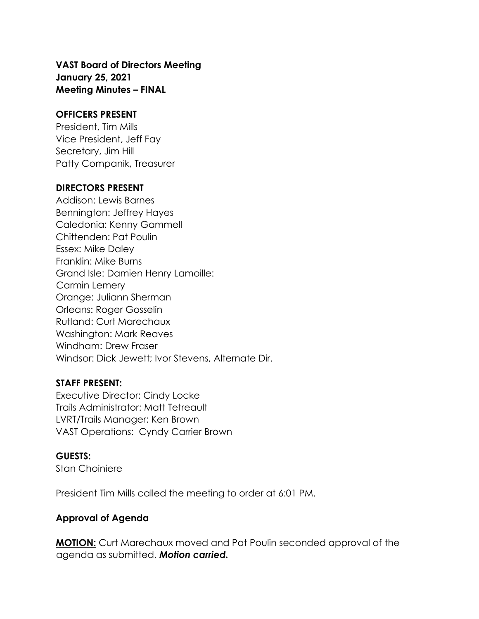# **VAST Board of Directors Meeting January 25, 2021 Meeting Minutes – FINAL**

#### **OFFICERS PRESENT**

President, Tim Mills Vice President, Jeff Fay Secretary, Jim Hill Patty Companik, Treasurer

#### **DIRECTORS PRESENT**

Addison: Lewis Barnes Bennington: Jeffrey Hayes Caledonia: Kenny Gammell Chittenden: Pat Poulin Essex: Mike Daley Franklin: Mike Burns Grand Isle: Damien Henry Lamoille: Carmin Lemery Orange: Juliann Sherman Orleans: Roger Gosselin Rutland: Curt Marechaux Washington: Mark Reaves Windham: Drew Fraser Windsor: Dick Jewett; Ivor Stevens, Alternate Dir.

### **STAFF PRESENT:**

Executive Director: Cindy Locke Trails Administrator: Matt Tetreault LVRT/Trails Manager: Ken Brown VAST Operations: Cyndy Carrier Brown

### **GUESTS:**

Stan Choiniere

President Tim Mills called the meeting to order at 6:01 PM.

### **Approval of Agenda**

**MOTION:** Curt Marechaux moved and Pat Poulin seconded approval of the agenda as submitted. *Motion carried.*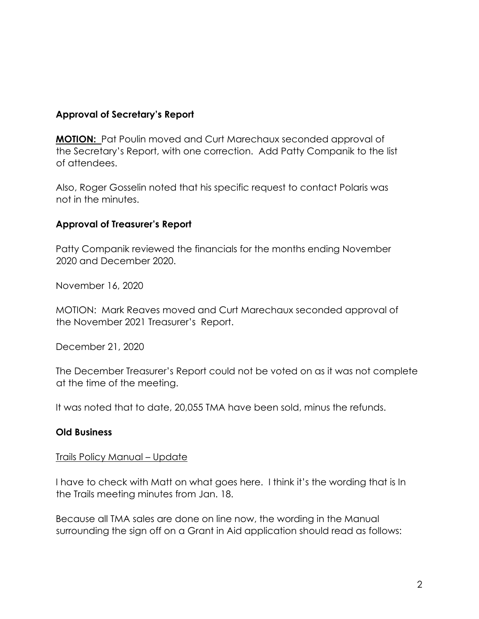### **Approval of Secretary's Report**

**MOTION:** Pat Poulin moved and Curt Marechaux seconded approval of the Secretary's Report, with one correction. Add Patty Companik to the list of attendees.

Also, Roger Gosselin noted that his specific request to contact Polaris was not in the minutes.

### **Approval of Treasurer's Report**

Patty Companik reviewed the financials for the months ending November 2020 and December 2020.

November 16, 2020

MOTION: Mark Reaves moved and Curt Marechaux seconded approval of the November 2021 Treasurer's Report.

December 21, 2020

The December Treasurer's Report could not be voted on as it was not complete at the time of the meeting.

It was noted that to date, 20,055 TMA have been sold, minus the refunds.

### **Old Business**

### Trails Policy Manual – Update

I have to check with Matt on what goes here. I think it's the wording that is In the Trails meeting minutes from Jan. 18.

Because all TMA sales are done on line now, the wording in the Manual surrounding the sign off on a Grant in Aid application should read as follows: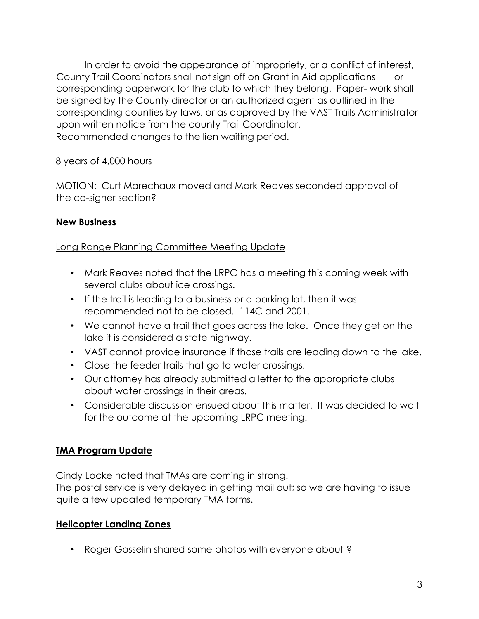In order to avoid the appearance of impropriety, or a conflict of interest, County Trail Coordinators shall not sign off on Grant in Aid applications or corresponding paperwork for the club to which they belong. Paper- work shall be signed by the County director or an authorized agent as outlined in the corresponding counties by-laws, or as approved by the VAST Trails Administrator upon written notice from the county Trail Coordinator. Recommended changes to the lien waiting period.

8 years of 4,000 hours

MOTION: Curt Marechaux moved and Mark Reaves seconded approval of the co-signer section?

# **New Business**

# Long Range Planning Committee Meeting Update

- Mark Reaves noted that the LRPC has a meeting this coming week with several clubs about ice crossings.
- If the trail is leading to a business or a parking lot, then it was recommended not to be closed. 114C and 2001.
- We cannot have a trail that goes across the lake. Once they get on the lake it is considered a state highway.
- VAST cannot provide insurance if those trails are leading down to the lake.
- Close the feeder trails that go to water crossings.
- Our attorney has already submitted a letter to the appropriate clubs about water crossings in their areas.
- Considerable discussion ensued about this matter. It was decided to wait for the outcome at the upcoming LRPC meeting.

# **TMA Program Update**

Cindy Locke noted that TMAs are coming in strong.

The postal service is very delayed in getting mail out; so we are having to issue quite a few updated temporary TMA forms.

# **Helicopter Landing Zones**

• Roger Gosselin shared some photos with everyone about ?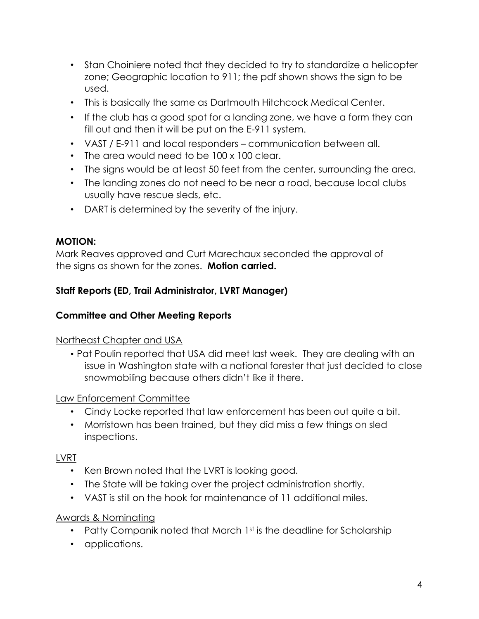- Stan Choiniere noted that they decided to try to standardize a helicopter zone; Geographic location to 911; the pdf shown shows the sign to be used.
- This is basically the same as Dartmouth Hitchcock Medical Center.
- If the club has a good spot for a landing zone, we have a form they can fill out and then it will be put on the E-911 system.
- VAST / E-911 and local responders communication between all.
- The area would need to be 100 x 100 clear.
- The signs would be at least 50 feet from the center, surrounding the area.
- The landing zones do not need to be near a road, because local clubs usually have rescue sleds, etc.
- DART is determined by the severity of the injury.

### **MOTION:**

Mark Reaves approved and Curt Marechaux seconded the approval of the signs as shown for the zones. **Motion carried.**

### **Staff Reports (ED, Trail Administrator, LVRT Manager)**

### **Committee and Other Meeting Reports**

### Northeast Chapter and USA

• Pat Poulin reported that USA did meet last week. They are dealing with an issue in Washington state with a national forester that just decided to close snowmobiling because others didn't like it there.

### Law Enforcement Committee

- Cindy Locke reported that law enforcement has been out quite a bit.
- Morristown has been trained, but they did miss a few things on sled inspections.

### LVRT

- Ken Brown noted that the LVRT is looking good.
- The State will be taking over the project administration shortly.
- VAST is still on the hook for maintenance of 11 additional miles.

### Awards & Nominating

- Patty Companik noted that March 1st is the deadline for Scholarship
- applications.